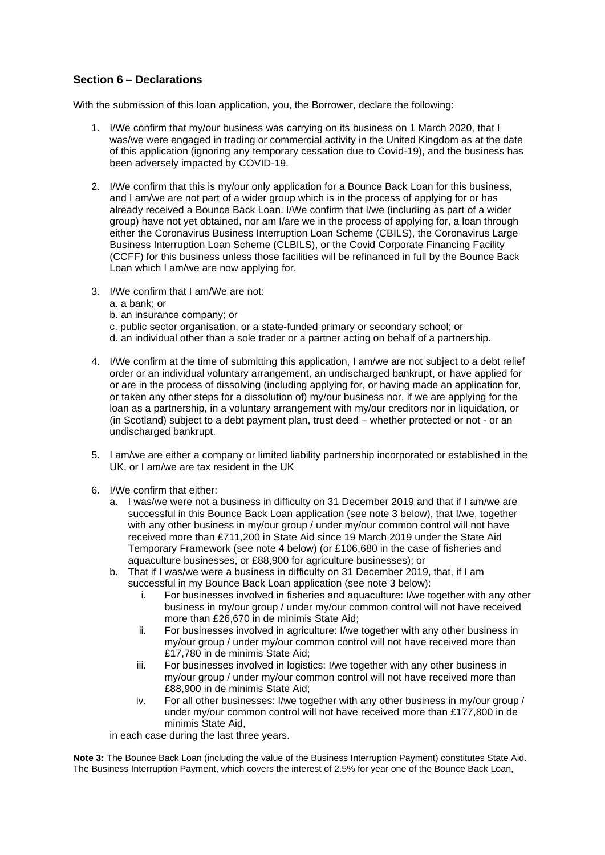## **Section 6 – Declarations**

With the submission of this loan application, you, the Borrower, declare the following:

- 1. I/We confirm that my/our business was carrying on its business on 1 March 2020, that I was/we were engaged in trading or commercial activity in the United Kingdom as at the date of this application (ignoring any temporary cessation due to Covid-19), and the business has been adversely impacted by COVID-19.
- 2. I/We confirm that this is my/our only application for a Bounce Back Loan for this business, and I am/we are not part of a wider group which is in the process of applying for or has already received a Bounce Back Loan. I/We confirm that I/we (including as part of a wider group) have not yet obtained, nor am I/are we in the process of applying for, a loan through either the Coronavirus Business Interruption Loan Scheme (CBILS), the Coronavirus Large Business Interruption Loan Scheme (CLBILS), or the Covid Corporate Financing Facility (CCFF) for this business unless those facilities will be refinanced in full by the Bounce Back Loan which I am/we are now applying for.
- 3. I/We confirm that I am/We are not:
	- a. a bank; or
	- b. an insurance company; or
	- c. public sector organisation, or a state-funded primary or secondary school; or
	- d. an individual other than a sole trader or a partner acting on behalf of a partnership.
- 4. I/We confirm at the time of submitting this application, I am/we are not subject to a debt relief order or an individual voluntary arrangement, an undischarged bankrupt, or have applied for or are in the process of dissolving (including applying for, or having made an application for, or taken any other steps for a dissolution of) my/our business nor, if we are applying for the loan as a partnership, in a voluntary arrangement with my/our creditors nor in liquidation, or (in Scotland) subject to a debt payment plan, trust deed – whether protected or not - or an undischarged bankrupt.
- 5. I am/we are either a company or limited liability partnership incorporated or established in the UK, or I am/we are tax resident in the UK
- 6. I/We confirm that either:
	- a. I was/we were not a business in difficulty on 31 December 2019 and that if I am/we are successful in this Bounce Back Loan application (see note 3 below), that I/we, together with any other business in my/our group / under my/our common control will not have received more than £711,200 in State Aid since 19 March 2019 under the State Aid Temporary Framework (see note 4 below) (or £106,680 in the case of fisheries and aquaculture businesses, or £88,900 for agriculture businesses); or
	- b. That if I was/we were a business in difficulty on 31 December 2019, that, if I am successful in my Bounce Back Loan application (see note 3 below):
		- i. For businesses involved in fisheries and aquaculture: I/we together with any other business in my/our group / under my/our common control will not have received more than £26,670 in de minimis State Aid;
		- ii. For businesses involved in agriculture: I/we together with any other business in my/our group / under my/our common control will not have received more than £17,780 in de minimis State Aid;
		- iii. For businesses involved in logistics: I/we together with any other business in my/our group / under my/our common control will not have received more than £88,900 in de minimis State Aid;
		- iv. For all other businesses: I/we together with any other business in my/our group / under my/our common control will not have received more than £177,800 in de minimis State Aid,

in each case during the last three years.

**Note 3:** The Bounce Back Loan (including the value of the Business Interruption Payment) constitutes State Aid. The Business Interruption Payment, which covers the interest of 2.5% for year one of the Bounce Back Loan,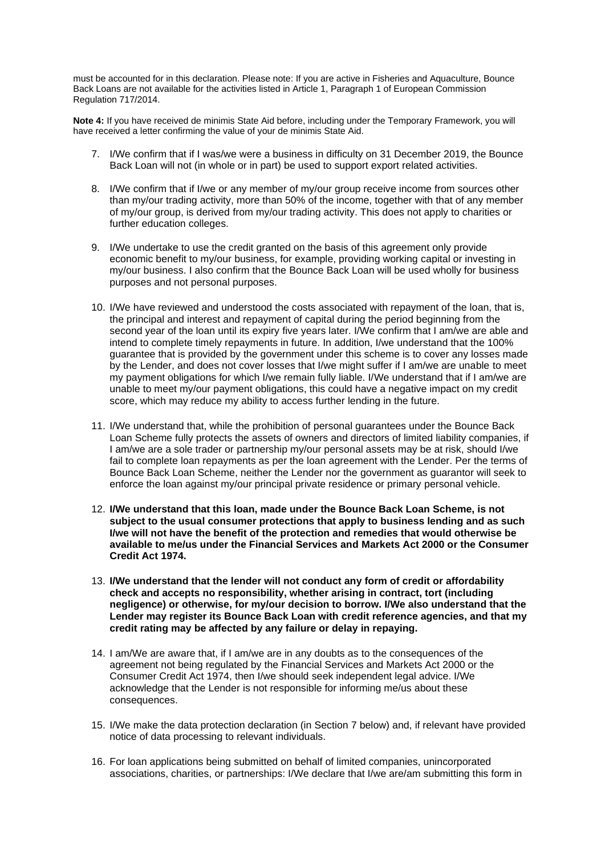must be accounted for in this declaration. Please note: If you are active in Fisheries and Aquaculture, Bounce Back Loans are not available for the activities listed in Article 1, Paragraph 1 of European Commission Regulation 717/2014.

**Note 4:** If you have received de minimis State Aid before, including under the Temporary Framework, you will have received a letter confirming the value of your de minimis State Aid.

- 7. I/We confirm that if I was/we were a business in difficulty on 31 December 2019, the Bounce Back Loan will not (in whole or in part) be used to support export related activities.
- 8. I/We confirm that if I/we or any member of my/our group receive income from sources other than my/our trading activity, more than 50% of the income, together with that of any member of my/our group, is derived from my/our trading activity. This does not apply to charities or further education colleges.
- 9. I/We undertake to use the credit granted on the basis of this agreement only provide economic benefit to my/our business, for example, providing working capital or investing in my/our business. I also confirm that the Bounce Back Loan will be used wholly for business purposes and not personal purposes.
- 10. I/We have reviewed and understood the costs associated with repayment of the loan, that is, the principal and interest and repayment of capital during the period beginning from the second year of the loan until its expiry five years later. I/We confirm that I am/we are able and intend to complete timely repayments in future. In addition, I/we understand that the 100% guarantee that is provided by the government under this scheme is to cover any losses made by the Lender, and does not cover losses that I/we might suffer if I am/we are unable to meet my payment obligations for which I/we remain fully liable. I/We understand that if I am/we are unable to meet my/our payment obligations, this could have a negative impact on my credit score, which may reduce my ability to access further lending in the future.
- 11. I/We understand that, while the prohibition of personal guarantees under the Bounce Back Loan Scheme fully protects the assets of owners and directors of limited liability companies, if I am/we are a sole trader or partnership my/our personal assets may be at risk, should I/we fail to complete loan repayments as per the loan agreement with the Lender. Per the terms of Bounce Back Loan Scheme, neither the Lender nor the government as guarantor will seek to enforce the loan against my/our principal private residence or primary personal vehicle.
- 12. **I/We understand that this loan, made under the Bounce Back Loan Scheme, is not subject to the usual consumer protections that apply to business lending and as such I/we will not have the benefit of the protection and remedies that would otherwise be available to me/us under the Financial Services and Markets Act 2000 or the Consumer Credit Act 1974.**
- 13. **I/We understand that the lender will not conduct any form of credit or affordability check and accepts no responsibility, whether arising in contract, tort (including negligence) or otherwise, for my/our decision to borrow. I/We also understand that the Lender may register its Bounce Back Loan with credit reference agencies, and that my credit rating may be affected by any failure or delay in repaying.**
- 14. I am/We are aware that, if I am/we are in any doubts as to the consequences of the agreement not being regulated by the Financial Services and Markets Act 2000 or the Consumer Credit Act 1974, then I/we should seek independent legal advice. I/We acknowledge that the Lender is not responsible for informing me/us about these consequences.
- 15. I/We make the data protection declaration (in Section 7 below) and, if relevant have provided notice of data processing to relevant individuals.
- 16. For loan applications being submitted on behalf of limited companies, unincorporated associations, charities, or partnerships: I/We declare that I/we are/am submitting this form in